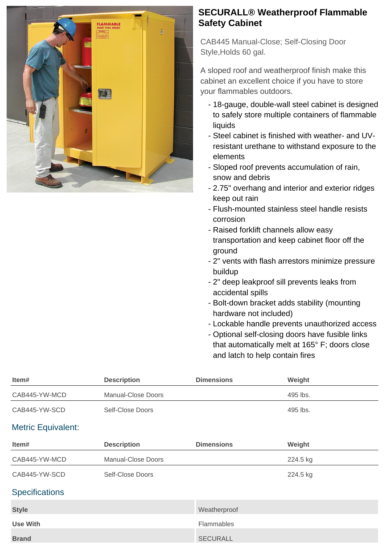

## **SECURALL® Weatherproof Flammable Safety Cabinet**

CAB445 Manual-Close; Self-Closing Door Style,Holds 60 gal.

A sloped roof and weatherproof finish make this cabinet an excellent choice if you have to store your flammables outdoors.

- 18-gauge, double-wall steel cabinet is designed to safely store multiple containers of flammable liquids
- Steel cabinet is finished with weather- and UVresistant urethane to withstand exposure to the elements
- Sloped roof prevents accumulation of rain, snow and debris
- 2.75" overhang and interior and exterior ridges keep out rain
- Flush-mounted stainless steel handle resists corrosion
- Raised forklift channels allow easy transportation and keep cabinet floor off the ground
- 2" vents with flash arrestors minimize pressure buildup
- 2" deep leakproof sill prevents leaks from accidental spills
- Bolt-down bracket adds stability (mounting hardware not included)
- Lockable handle prevents unauthorized access
- Optional self-closing doors have fusible links that automatically melt at 165° F; doors close and latch to help contain fires

| Item#                     | <b>Description</b> | <b>Dimensions</b> | Weight   |
|---------------------------|--------------------|-------------------|----------|
| CAB445-YW-MCD             | Manual-Close Doors |                   | 495 lbs. |
| CAB445-YW-SCD             | Self-Close Doors   |                   | 495 lbs. |
| <b>Metric Equivalent:</b> |                    |                   |          |
| Item#                     | <b>Description</b> | <b>Dimensions</b> | Weight   |
| CAB445-YW-MCD             | Manual-Close Doors |                   | 224.5 kg |
| CAB445-YW-SCD             | Self-Close Doors   |                   | 224.5 kg |
| <b>Specifications</b>     |                    |                   |          |
| <b>Style</b>              |                    | Weatherproof      |          |
| <b>Use With</b>           |                    | Flammables        |          |
| <b>Brand</b>              |                    | <b>SECURALL</b>   |          |